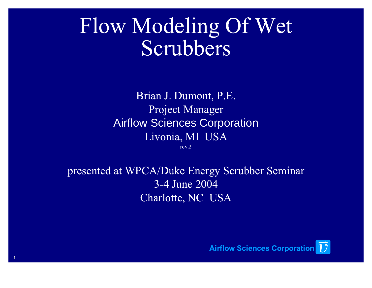#### Flow Modeling Of Wet Scrubbers

Brian J. Dumont, P.E.Project ManagerAirflow Sciences CorporationLivonia, MI USArev.2

presented at WPCA/Duke Energy Scrubber Seminar3-4 June 2004Charlotte, NC USA

1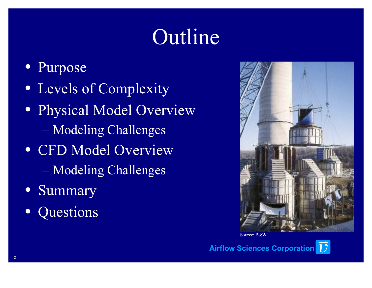## Outline

- Purpose
- Levels of Complexity
- Physical Model OverviewModeling Challenges
- CFD Model OverviewModeling Challenges
- Summary
- Questions



Source: B&W

**Airflow Sciences Corporation** 17

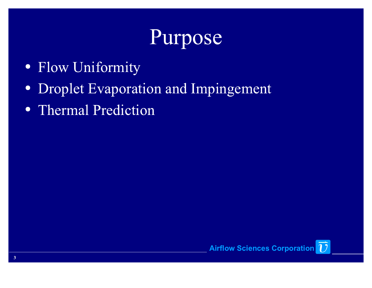### Purpose

- Flow Uniformity
- Droplet Evaporation and Impingement
- Thermal Prediction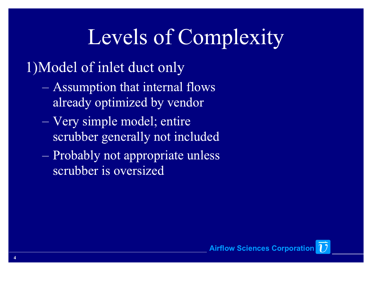## Levels of Complexity

1)Model of inlet duct only

- Assumption that internal flows already optimized by vendor
- Very simple model; entire scrubber generally not included
- Probably not appropriate unless scrubber is oversized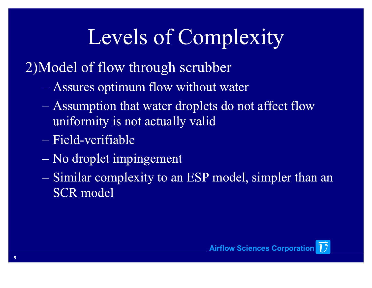# Levels of Complexity

2)Model of flow through scrubber

- Assures optimum flow without water
- Assumption that water droplets do not affect flow uniformity is not actually valid
- Field-verifiable
- No droplet impingement
- Similar complexity to an ESP model, simpler than an SCR model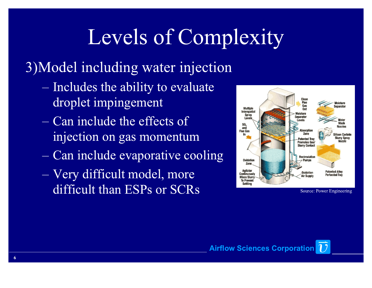# Levels of Complexity

#### 3)Model including water injection

- Includes the ability to evaluate droplet impingement
- Can include the effects of injection on gas momentum
- Can include evaporative cooling
- Very difficult model, more difficult than ESPs or SCRs



Source: Power Engineering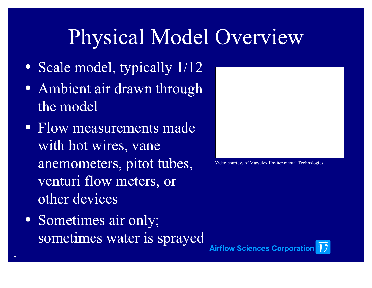## Physical Model Overview

- Scale model, typically 1/12
- Ambient air drawn through the model
- Flow measurements made with hot wires, vane anemometers, pitot tubes, venturi flow meters, or other devices
- Sometimes air only; sometimes water is sprayed



Video courtesy of Marsulex Environmental Technologies

**Airflow Sciences Corporation** 17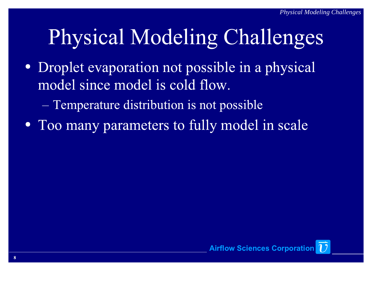# Physical Modeling Challenges

- Droplet evaporation not possible in a physical model since model is cold flow.
	- Temperature distribution is not possible
- Too many parameters to fully model in scale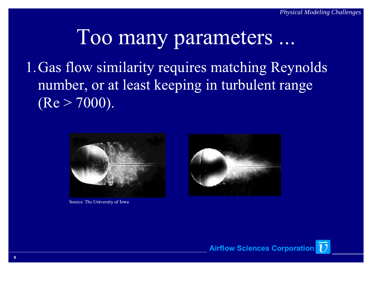1.Gas flow similarity requires matching Reynolds number, or at least keeping in turbulent range  $(Re > 7000)$ .



Source: The University of Iowa

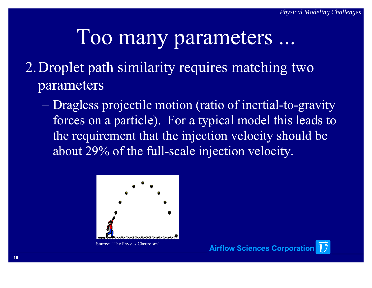- 2.Droplet path similarity requires matching two parameters
	- Dragless projectile motion (ratio of inertial-to-gravity forces on a particle). For a typical model this leads to the requirement that the injection velocity should be about 29% of the full-scale injection velocity.

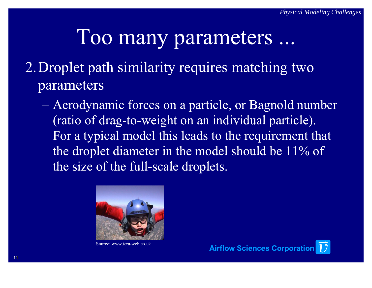#### 2.Droplet path similarity requires matching two parameters

 Aerodynamic forces on a particle, or Bagnold number (ratio of drag-to-weight on an individual particle). For a typical model this leads to the requirement that the droplet diameter in the model should be 11% of the size of the full-scale droplets.



Source: www.tera-web.co.uk

Airflow Sciences Corporation 1

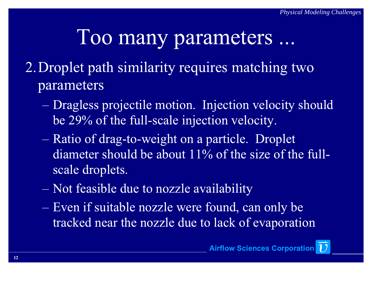- 2.Droplet path similarity requires matching two parameters
	- Dragless projectile motion. Injection velocity should be 29% of the full-scale injection velocity.
	- Ratio of drag-to-weight on a particle. Droplet diameter should be about 11% of the size of the fullscale droplets.
	- Not feasible due to nozzle availability
	- Even if suitable nozzle were found, can only be tracked near the nozzle due to lack of evaporation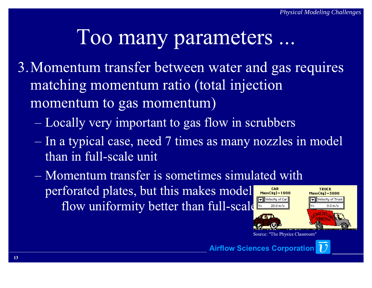- 3.Momentum transfer between water and gas requires matching momentum ratio (total injection momentum to gas momentum)
	- **Contract Contract Contract Contract** Locally very important to gas flow in scrubbers
	- the contract of the contract of In a typical case, need 7 times as many nozzles in model than in full-scale unit
	- Momentum transfer is sometimes simulated with perforated plates, but this makes model CAR Mass (kg) =  $1000$ Velocity of Car flow uniformity better than full-scale.20.0 m/s

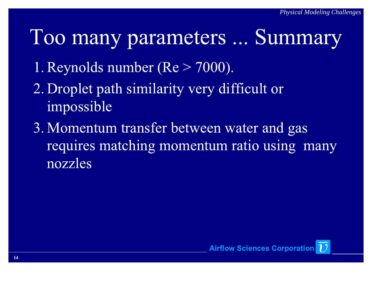#### Too many parameters ... Summary

- 1. Reynolds number ( $Re > 7000$ ).
- 2. Droplet path similarity very difficult or impossible
- 3. Momentum transfer between water and gas requires matching momentum ratio using many nozzles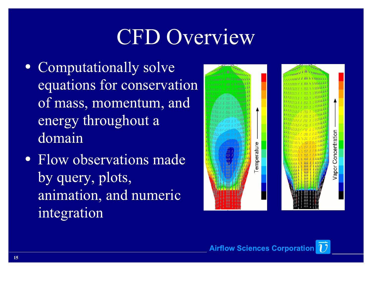## CFD Overview

- Computationally solve equations for conservation of mass, momentum, and energy throughout a domain
- Flow observations made by query, plots, animation, and numeric integration

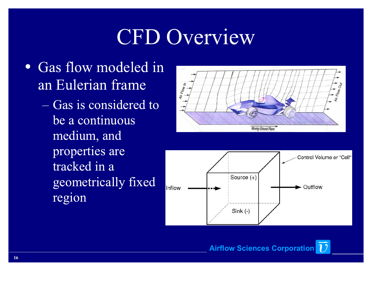### CFD Overview

- Gas flow modeled in an Eulerian frame
	- Gas is considered to be a continuous medium, and properties are tracked in a geometrically fixed region





**Airflow Sciences Corporation** 17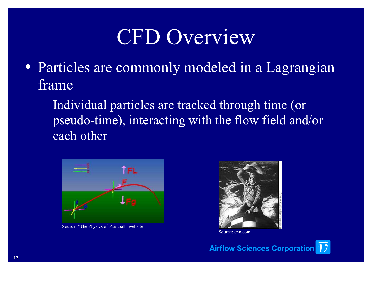#### CFD Overview

- Particles are commonly modeled in a Lagrangian frame
	- Individual particles are tracked through time (or pseudo-time), interacting with the flow field and/or each other



Source: "The Physics of Paintball" website



Source: cnn.com

Airflow Sciences Corporation 17

17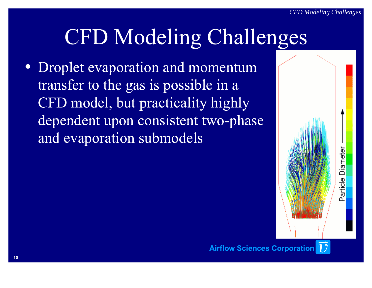## CFD Modeling Challenges

 Droplet evaporation and momentum transfer to the gas is possible in a CFD model, but practicality highly dependent upon consistent two-phase and evaporation submodels

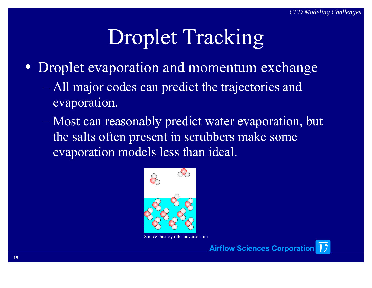# Droplet Tracking

- Droplet evaporation and momentum exchange
	- All major codes can predict the trajectories and evaporation.
	- Most can reasonably predict water evaporation, but the salts often present in scrubbers make some evaporation models less than ideal.



Source: historyoftheuniverse.com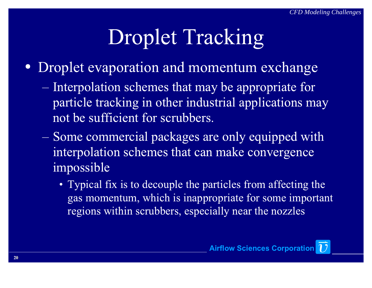# Droplet Tracking

- Droplet evaporation and momentum exchange
	- Interpolation schemes that may be appropriate for particle tracking in other industrial applications may not be sufficient for scrubbers.
	- Some commercial packages are only equipped with interpolation schemes that can make convergence impossible
		- Typical fix is to decouple the particles from affecting the gas momentum, which is inappropriate for some important regions within scrubbers, especially near the nozzles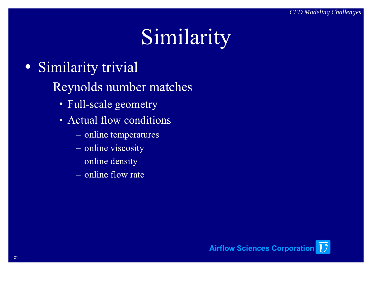# Similarity

- Similarity trivial
	- Reynolds number matches
		- Full-scale geometry
		- Actual flow conditions
			- online temperatures
			- online viscosity
			- online density
			- online flow rate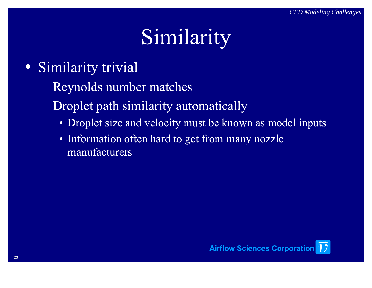# Similarity

- Similarity trivial
	- Reynolds number matches
	- Droplet path similarity automatically
		- Droplet size and velocity must be known as model inputs
		- Information often hard to get from many nozzle manufacturers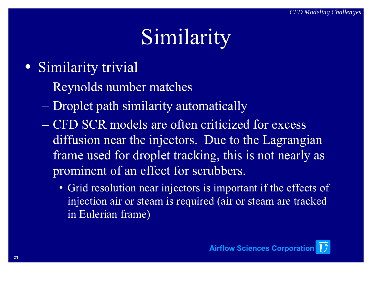# Similarity

- Similarity trivial
	- Reynolds number matches
	- Droplet path similarity automatically
	- CFD SCR models are often criticized for excess diffusion near the injectors. Due to the Lagrangian frame used for droplet tracking, this is not nearly as prominent of an effect for scrubbers.
		- Grid resolution near injectors is important if the effects of injection air or steam is required (air or steam are tracked in Eulerian frame)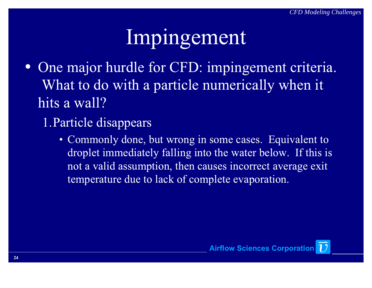## Impingement

- One major hurdle for CFD: impingement criteria. What to do with a particle numerically when it hits a wall?
	- 1.Particle disappears
		- Commonly done, but wrong in some cases. Equivalent to droplet immediately falling into the water below. If this is not a valid assumption, then causes incorrect average exit temperature due to lack of complete evaporation.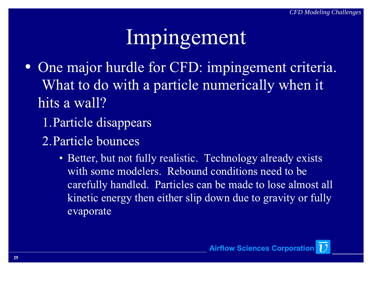## Impingement

- One major hurdle for CFD: impingement criteria. What to do with a particle numerically when it hits a wall?
	- 1.Particle disappears
	- 2.Particle bounces
		- Better, but not fully realistic. Technology already exists with some modelers. Rebound conditions need to be carefully handled. Particles can be made to lose almost all kinetic energy then either slip down due to gravity or fully evaporate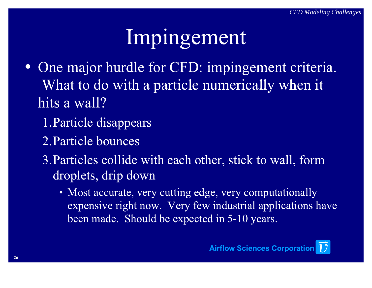## Impingement

- One major hurdle for CFD: impingement criteria. What to do with a particle numerically when it hits a wall?
	- 1.Particle disappears
	- 2.Particle bounces
	- 3.Particles collide with each other, stick to wall, form droplets, drip down
		- Most accurate, very cutting edge, very computationally expensive right now. Very few industrial applications have been made. Should be expected in 5-10 years.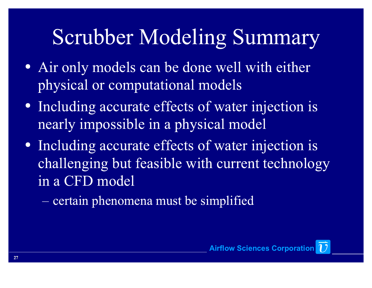# Scrubber Modeling Summary

- Air only models can be done well with either physical or computational models
- Including accurate effects of water injection is nearly impossible in a physical model
- Including accurate effects of water injection is challenging but feasible with current technology in a CFD model
	- certain phenomena must be simplified